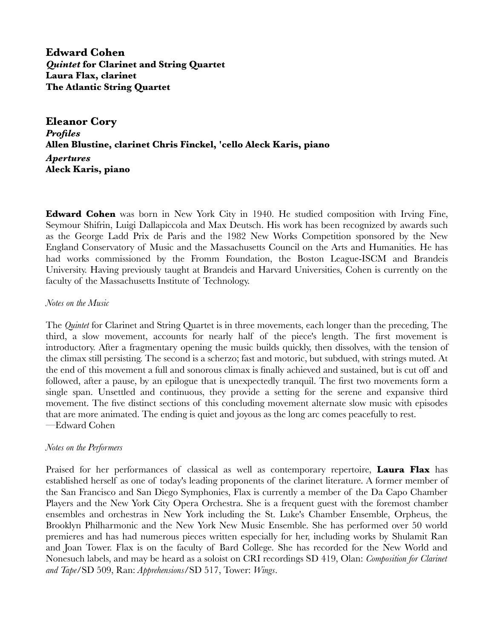**Edward Cohen** *Quintet* **for Clarinet and String Quartet Laura Flax, clarinet The Atlantic String Quartet**

**Eleanor Cory** *Profiles* **Allen Blustine, clarinet Chris Finckel, 'cello Aleck Karis, piano**  *Apertures* **Aleck Karis, piano**

**Edward Cohen** was born in New York City in 1940. He studied composition with Irving Fine, Seymour Shifrin, Luigi Dallapiccola and Max Deutsch. His work has been recognized by awards such as the George Ladd Prix de Paris and the 1982 New Works Competition sponsored by the New England Conservatory of Music and the Massachusetts Council on the Arts and Humanities. He has had works commissioned by the Fromm Foundation, the Boston League-ISCM and Brandeis University. Having previously taught at Brandeis and Harvard Universities, Cohen is currently on the faculty of the Massachusetts Institute of Technology.

## *Notes on the Music*

The *Quintet* for Clarinet and String Quartet is in three movements, each longer than the preceding, The third, a slow movement, accounts for nearly half of the piece's length. The first movement is introductory. After a fragmentary opening the music builds quickly, then dissolves, with the tension of the climax still persisting. The second is a scherzo; fast and motoric, but subdued, with strings muted. At the end of this movement a full and sonorous climax is finally achieved and sustained, but is cut off and followed, after a pause, by an epilogue that is unexpectedly tranquil. The first two movements form a single span. Unsettled and continuous, they provide a setting for the serene and expansive third movement. The five distinct sections of this concluding movement alternate slow music with episodes that are more animated. The ending is quiet and joyous as the long arc comes peacefully to rest. —Edward Cohen

## *Notes on the Performers*

Praised for her performances of classical as well as contemporary repertoire, **Laura Flax** has established herself as one of today's leading proponents of the clarinet literature. A former member of the San Francisco and San Diego Symphonies, Flax is currently a member of the Da Capo Chamber Players and the New York City Opera Orchestra. She is a frequent guest with the foremost chamber ensembles and orchestras in New York including the St. Luke's Chamber Ensemble, Orpheus, the Brooklyn Philharmonic and the New York New Music Ensemble. She has performed over 50 world premieres and has had numerous pieces written especially for her, including works by Shulamit Ran and Joan Tower. Flax is on the faculty of Bard College. She has recorded for the New World and Nonesuch labels, and may be heard as a soloist on CRI recordings SD 419, Olan: *Composition for Clarinet and Tape*/SD 509, Ran: *Apprehensions*/SD 517, Tower: *Wings*.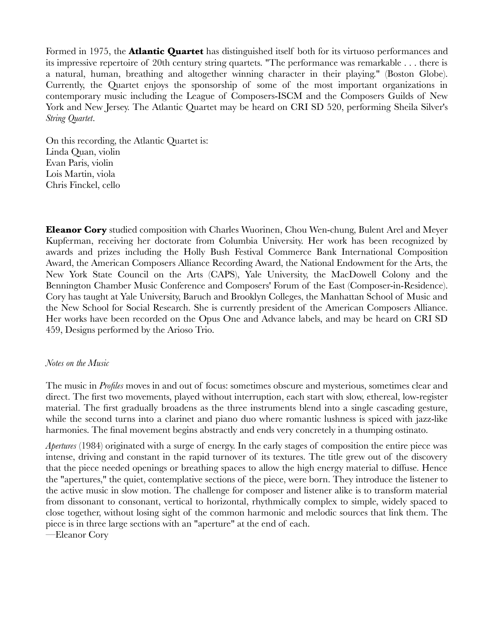Formed in 1975, the **Atlantic Quartet** has distinguished itself both for its virtuoso performances and its impressive repertoire of 20th century string quartets. "The performance was remarkable . . . there is a natural, human, breathing and altogether winning character in their playing." (Boston Globe). Currently, the Quartet enjoys the sponsorship of some of the most important organizations in contemporary music including the League of Composers-ISCM and the Composers Guilds of New York and New Jersey. The Atlantic Quartet may be heard on CRI SD 520, performing Sheila Silver's *String Quartet*.

On this recording, the Atlantic Quartet is: Linda Quan, violin Evan Paris, violin Lois Martin, viola Chris Finckel, cello

**Eleanor Cory** studied composition with Charles Wuorinen, Chou Wen-chung, Bulent Arel and Meyer Kupferman, receiving her doctorate from Columbia University. Her work has been recognized by awards and prizes including the Holly Bush Festival Commerce Bank International Composition Award, the American Composers Alliance Recording Award, the National Endowment for the Arts, the New York State Council on the Arts (CAPS), Yale University, the MacDowell Colony and the Bennington Chamber Music Conference and Composers' Forum of the East (Composer-in-Residence). Cory has taught at Yale University, Baruch and Brooklyn Colleges, the Manhattan School of Music and the New School for Social Research. She is currently president of the American Composers Alliance. Her works have been recorded on the Opus One and Advance labels, and may be heard on CRI SD 459, Designs performed by the Arioso Trio.

## *Notes on the Music*

The music in *Profiles* moves in and out of focus: sometimes obscure and mysterious, sometimes clear and direct. The first two movements, played without interruption, each start with slow, ethereal, low-register material. The first gradually broadens as the three instruments blend into a single cascading gesture, while the second turns into a clarinet and piano duo where romantic lushness is spiced with jazz-like harmonies. The final movement begins abstractly and ends very concretely in a thumping ostinato.

*Apertures* (1984) originated with a surge of energy. In the early stages of composition the entire piece was intense, driving and constant in the rapid turnover of its textures. The title grew out of the discovery that the piece needed openings or breathing spaces to allow the high energy material to diffuse. Hence the "apertures," the quiet, contemplative sections of the piece, were born. They introduce the listener to the active music in slow motion. The challenge for composer and listener alike is to transform material from dissonant to consonant, vertical to horizontal, rhythmically complex to simple, widely spaced to close together, without losing sight of the common harmonic and melodic sources that link them. The piece is in three large sections with an "aperture" at the end of each.

—Eleanor Cory